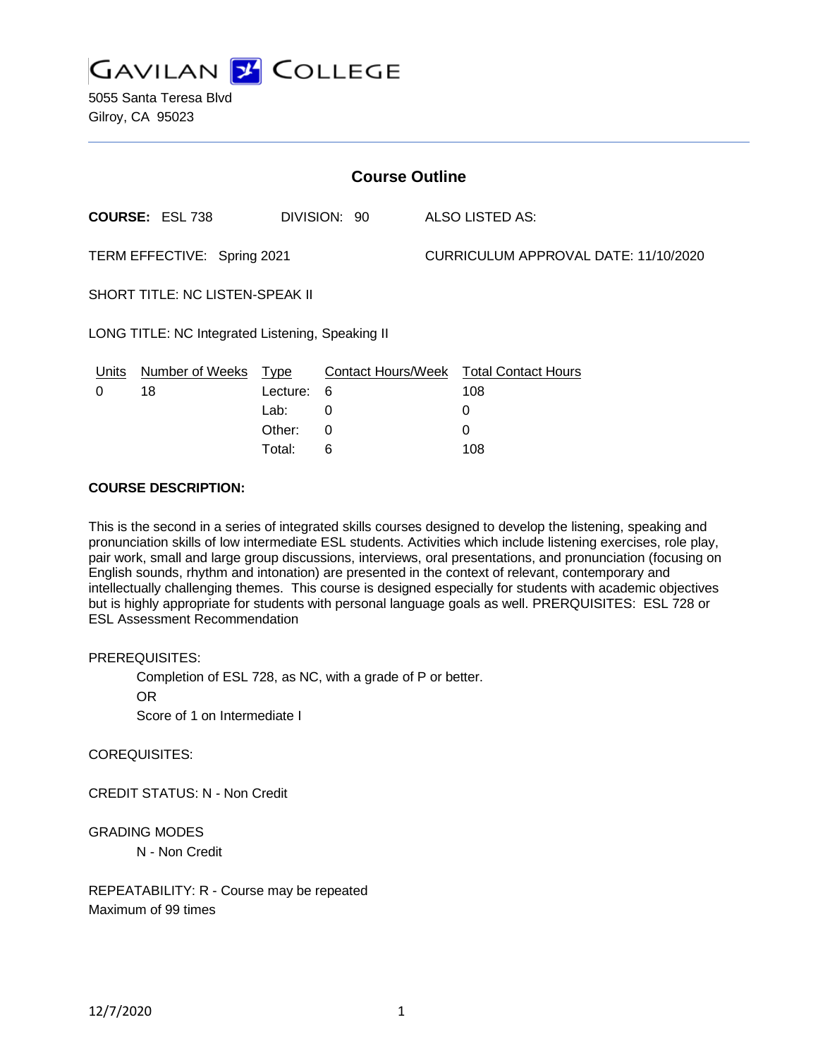

5055 Santa Teresa Blvd Gilroy, CA 95023

| <b>Course Outline</b>                            |                        |             |              |                                      |                                        |
|--------------------------------------------------|------------------------|-------------|--------------|--------------------------------------|----------------------------------------|
|                                                  | <b>COURSE: ESL 738</b> |             | DIVISION: 90 |                                      | ALSO LISTED AS:                        |
| TERM EFFECTIVE: Spring 2021                      |                        |             |              | CURRICULUM APPROVAL DATE: 11/10/2020 |                                        |
| SHORT TITLE: NC LISTEN-SPEAK II                  |                        |             |              |                                      |                                        |
| LONG TITLE: NC Integrated Listening, Speaking II |                        |             |              |                                      |                                        |
| Units                                            | Number of Weeks        | <u>Type</u> |              |                                      | Contact Hours/Week Total Contact Hours |
| 0                                                | 18                     | Lecture:    | - 6          |                                      | 108                                    |
|                                                  |                        | Lab:        | 0            |                                      | 0                                      |
|                                                  |                        | Other:      | $\Omega$     |                                      | 0                                      |
|                                                  |                        | Total:      | 6            |                                      | 108                                    |

### **COURSE DESCRIPTION:**

This is the second in a series of integrated skills courses designed to develop the listening, speaking and pronunciation skills of low intermediate ESL students. Activities which include listening exercises, role play, pair work, small and large group discussions, interviews, oral presentations, and pronunciation (focusing on English sounds, rhythm and intonation) are presented in the context of relevant, contemporary and intellectually challenging themes. This course is designed especially for students with academic objectives but is highly appropriate for students with personal language goals as well. PRERQUISITES: ESL 728 or ESL Assessment Recommendation

#### PREREQUISITES:

Completion of ESL 728, as NC, with a grade of P or better.

OR

Score of 1 on Intermediate I

COREQUISITES:

CREDIT STATUS: N - Non Credit

## GRADING MODES

N - Non Credit

REPEATABILITY: R - Course may be repeated Maximum of 99 times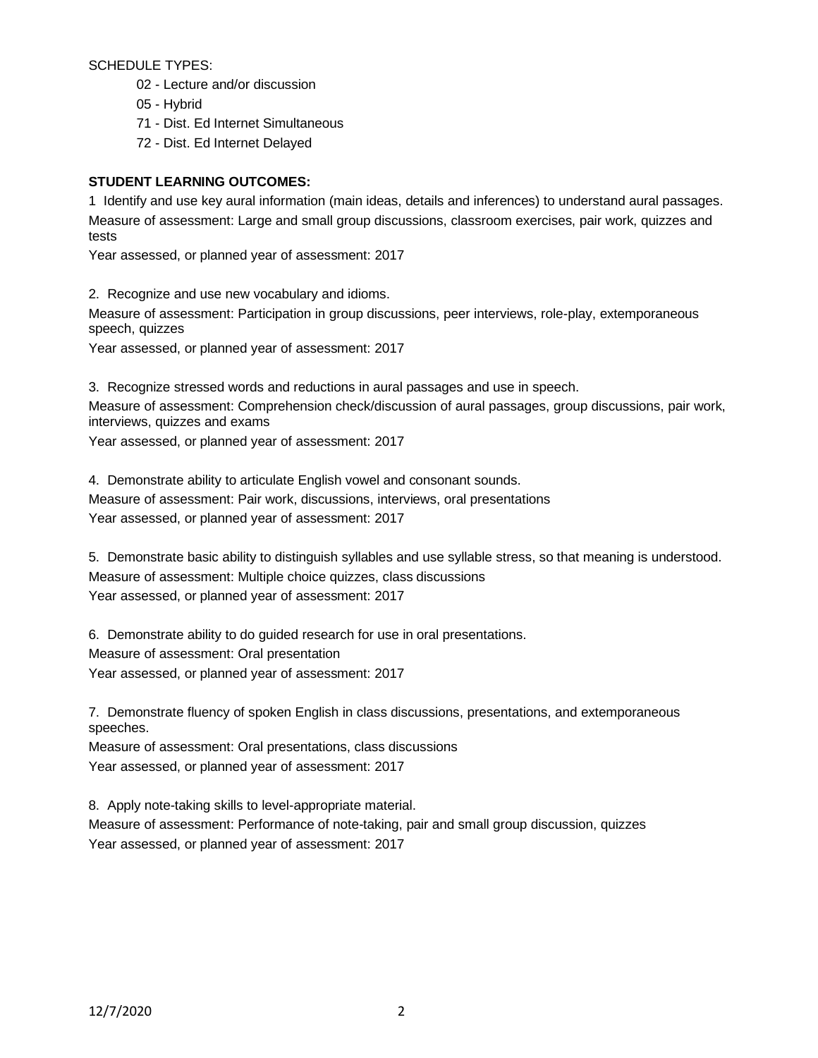SCHEDULE TYPES:

- 02 Lecture and/or discussion
- 05 Hybrid
- 71 Dist. Ed Internet Simultaneous
- 72 Dist. Ed Internet Delayed

# **STUDENT LEARNING OUTCOMES:**

1 Identify and use key aural information (main ideas, details and inferences) to understand aural passages. Measure of assessment: Large and small group discussions, classroom exercises, pair work, quizzes and tests

Year assessed, or planned year of assessment: 2017

2. Recognize and use new vocabulary and idioms.

Measure of assessment: Participation in group discussions, peer interviews, role-play, extemporaneous speech, quizzes

Year assessed, or planned year of assessment: 2017

3. Recognize stressed words and reductions in aural passages and use in speech.

Measure of assessment: Comprehension check/discussion of aural passages, group discussions, pair work, interviews, quizzes and exams

Year assessed, or planned year of assessment: 2017

4. Demonstrate ability to articulate English vowel and consonant sounds. Measure of assessment: Pair work, discussions, interviews, oral presentations Year assessed, or planned year of assessment: 2017

5. Demonstrate basic ability to distinguish syllables and use syllable stress, so that meaning is understood. Measure of assessment: Multiple choice quizzes, class discussions Year assessed, or planned year of assessment: 2017

6. Demonstrate ability to do guided research for use in oral presentations. Measure of assessment: Oral presentation Year assessed, or planned year of assessment: 2017

7. Demonstrate fluency of spoken English in class discussions, presentations, and extemporaneous speeches.

Measure of assessment: Oral presentations, class discussions Year assessed, or planned year of assessment: 2017

8. Apply note-taking skills to level-appropriate material.

Measure of assessment: Performance of note-taking, pair and small group discussion, quizzes Year assessed, or planned year of assessment: 2017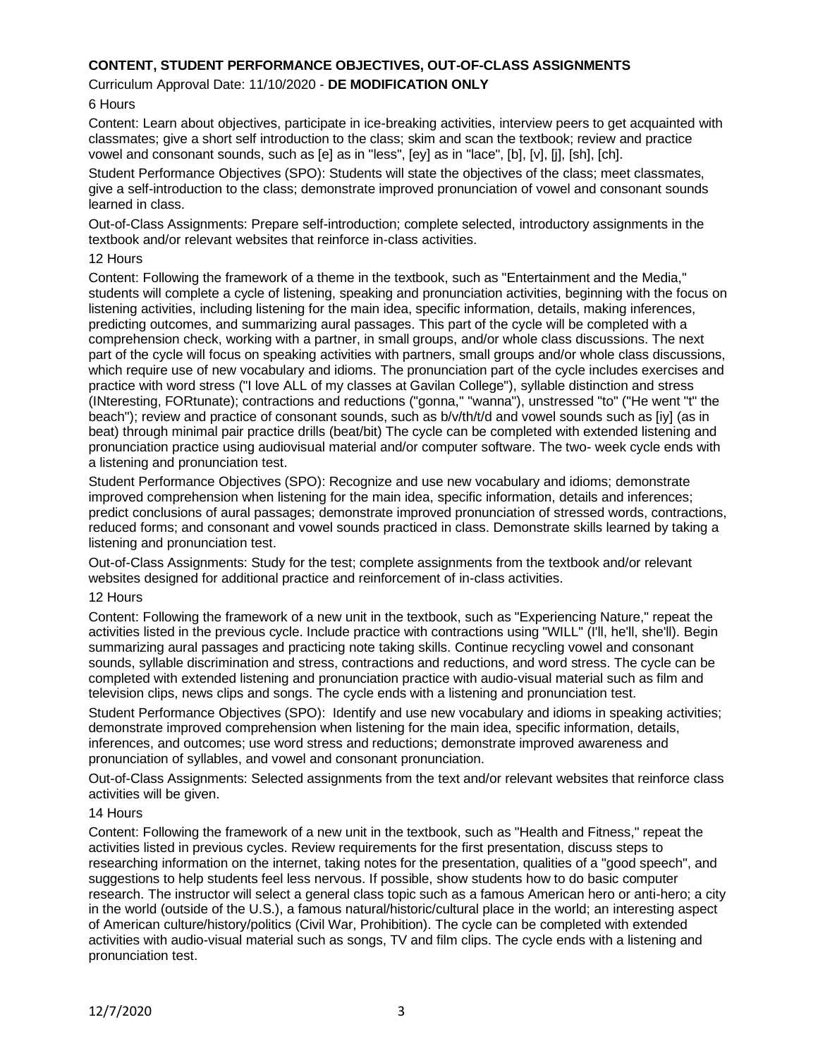# **CONTENT, STUDENT PERFORMANCE OBJECTIVES, OUT-OF-CLASS ASSIGNMENTS**

### Curriculum Approval Date: 11/10/2020 - **DE MODIFICATION ONLY**

### 6 Hours

Content: Learn about objectives, participate in ice-breaking activities, interview peers to get acquainted with classmates; give a short self introduction to the class; skim and scan the textbook; review and practice vowel and consonant sounds, such as [e] as in "less", [ey] as in "lace", [b], [v], [j], [sh], [ch].

Student Performance Objectives (SPO): Students will state the objectives of the class; meet classmates, give a self-introduction to the class; demonstrate improved pronunciation of vowel and consonant sounds learned in class.

Out-of-Class Assignments: Prepare self-introduction; complete selected, introductory assignments in the textbook and/or relevant websites that reinforce in-class activities.

#### 12 Hours

Content: Following the framework of a theme in the textbook, such as "Entertainment and the Media," students will complete a cycle of listening, speaking and pronunciation activities, beginning with the focus on listening activities, including listening for the main idea, specific information, details, making inferences, predicting outcomes, and summarizing aural passages. This part of the cycle will be completed with a comprehension check, working with a partner, in small groups, and/or whole class discussions. The next part of the cycle will focus on speaking activities with partners, small groups and/or whole class discussions, which require use of new vocabulary and idioms. The pronunciation part of the cycle includes exercises and practice with word stress ("I love ALL of my classes at Gavilan College"), syllable distinction and stress (INteresting, FORtunate); contractions and reductions ("gonna," "wanna"), unstressed "to" ("He went "t" the beach"); review and practice of consonant sounds, such as b/v/th/t/d and vowel sounds such as [iy] (as in beat) through minimal pair practice drills (beat/bit) The cycle can be completed with extended listening and pronunciation practice using audiovisual material and/or computer software. The two- week cycle ends with a listening and pronunciation test.

Student Performance Objectives (SPO): Recognize and use new vocabulary and idioms; demonstrate improved comprehension when listening for the main idea, specific information, details and inferences; predict conclusions of aural passages; demonstrate improved pronunciation of stressed words, contractions, reduced forms; and consonant and vowel sounds practiced in class. Demonstrate skills learned by taking a listening and pronunciation test.

Out-of-Class Assignments: Study for the test; complete assignments from the textbook and/or relevant websites designed for additional practice and reinforcement of in-class activities.

#### 12 Hours

Content: Following the framework of a new unit in the textbook, such as "Experiencing Nature," repeat the activities listed in the previous cycle. Include practice with contractions using "WILL" (I'll, he'll, she'll). Begin summarizing aural passages and practicing note taking skills. Continue recycling vowel and consonant sounds, syllable discrimination and stress, contractions and reductions, and word stress. The cycle can be completed with extended listening and pronunciation practice with audio-visual material such as film and television clips, news clips and songs. The cycle ends with a listening and pronunciation test.

Student Performance Objectives (SPO): Identify and use new vocabulary and idioms in speaking activities; demonstrate improved comprehension when listening for the main idea, specific information, details, inferences, and outcomes; use word stress and reductions; demonstrate improved awareness and pronunciation of syllables, and vowel and consonant pronunciation.

Out-of-Class Assignments: Selected assignments from the text and/or relevant websites that reinforce class activities will be given.

#### 14 Hours

Content: Following the framework of a new unit in the textbook, such as "Health and Fitness," repeat the activities listed in previous cycles. Review requirements for the first presentation, discuss steps to researching information on the internet, taking notes for the presentation, qualities of a "good speech", and suggestions to help students feel less nervous. If possible, show students how to do basic computer research. The instructor will select a general class topic such as a famous American hero or anti-hero; a city in the world (outside of the U.S.), a famous natural/historic/cultural place in the world; an interesting aspect of American culture/history/politics (Civil War, Prohibition). The cycle can be completed with extended activities with audio-visual material such as songs, TV and film clips. The cycle ends with a listening and pronunciation test.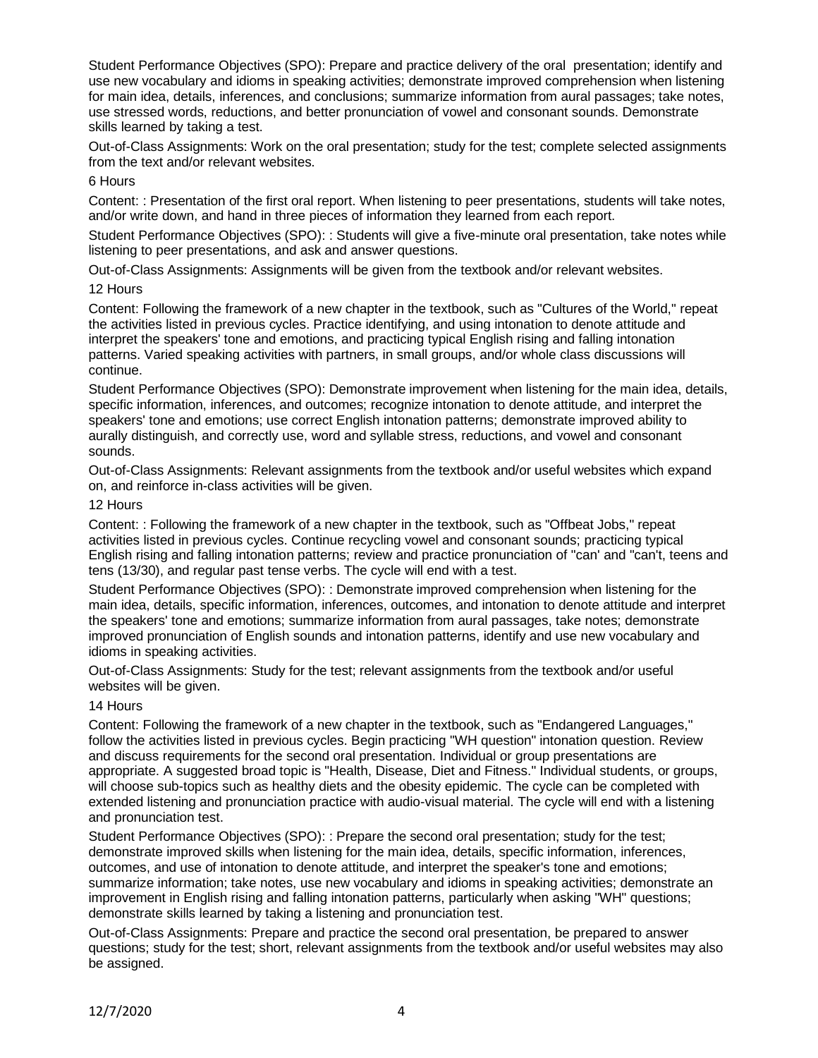Student Performance Objectives (SPO): Prepare and practice delivery of the oral presentation; identify and use new vocabulary and idioms in speaking activities; demonstrate improved comprehension when listening for main idea, details, inferences, and conclusions; summarize information from aural passages; take notes, use stressed words, reductions, and better pronunciation of vowel and consonant sounds. Demonstrate skills learned by taking a test.

Out-of-Class Assignments: Work on the oral presentation; study for the test; complete selected assignments from the text and/or relevant websites.

#### 6 Hours

Content: : Presentation of the first oral report. When listening to peer presentations, students will take notes, and/or write down, and hand in three pieces of information they learned from each report.

Student Performance Objectives (SPO): : Students will give a five-minute oral presentation, take notes while listening to peer presentations, and ask and answer questions.

Out-of-Class Assignments: Assignments will be given from the textbook and/or relevant websites.

### 12 Hours

Content: Following the framework of a new chapter in the textbook, such as "Cultures of the World," repeat the activities listed in previous cycles. Practice identifying, and using intonation to denote attitude and interpret the speakers' tone and emotions, and practicing typical English rising and falling intonation patterns. Varied speaking activities with partners, in small groups, and/or whole class discussions will continue.

Student Performance Objectives (SPO): Demonstrate improvement when listening for the main idea, details, specific information, inferences, and outcomes; recognize intonation to denote attitude, and interpret the speakers' tone and emotions; use correct English intonation patterns; demonstrate improved ability to aurally distinguish, and correctly use, word and syllable stress, reductions, and vowel and consonant sounds.

Out-of-Class Assignments: Relevant assignments from the textbook and/or useful websites which expand on, and reinforce in-class activities will be given.

### 12 Hours

Content: : Following the framework of a new chapter in the textbook, such as "Offbeat Jobs," repeat activities listed in previous cycles. Continue recycling vowel and consonant sounds; practicing typical English rising and falling intonation patterns; review and practice pronunciation of "can' and "can't, teens and tens (13/30), and regular past tense verbs. The cycle will end with a test.

Student Performance Objectives (SPO): : Demonstrate improved comprehension when listening for the main idea, details, specific information, inferences, outcomes, and intonation to denote attitude and interpret the speakers' tone and emotions; summarize information from aural passages, take notes; demonstrate improved pronunciation of English sounds and intonation patterns, identify and use new vocabulary and idioms in speaking activities.

Out-of-Class Assignments: Study for the test; relevant assignments from the textbook and/or useful websites will be given.

## 14 Hours

Content: Following the framework of a new chapter in the textbook, such as "Endangered Languages," follow the activities listed in previous cycles. Begin practicing "WH question" intonation question. Review and discuss requirements for the second oral presentation. Individual or group presentations are appropriate. A suggested broad topic is "Health, Disease, Diet and Fitness." Individual students, or groups, will choose sub-topics such as healthy diets and the obesity epidemic. The cycle can be completed with extended listening and pronunciation practice with audio-visual material. The cycle will end with a listening and pronunciation test.

Student Performance Objectives (SPO): : Prepare the second oral presentation; study for the test; demonstrate improved skills when listening for the main idea, details, specific information, inferences, outcomes, and use of intonation to denote attitude, and interpret the speaker's tone and emotions; summarize information; take notes, use new vocabulary and idioms in speaking activities; demonstrate an improvement in English rising and falling intonation patterns, particularly when asking "WH" questions; demonstrate skills learned by taking a listening and pronunciation test.

Out-of-Class Assignments: Prepare and practice the second oral presentation, be prepared to answer questions; study for the test; short, relevant assignments from the textbook and/or useful websites may also be assigned.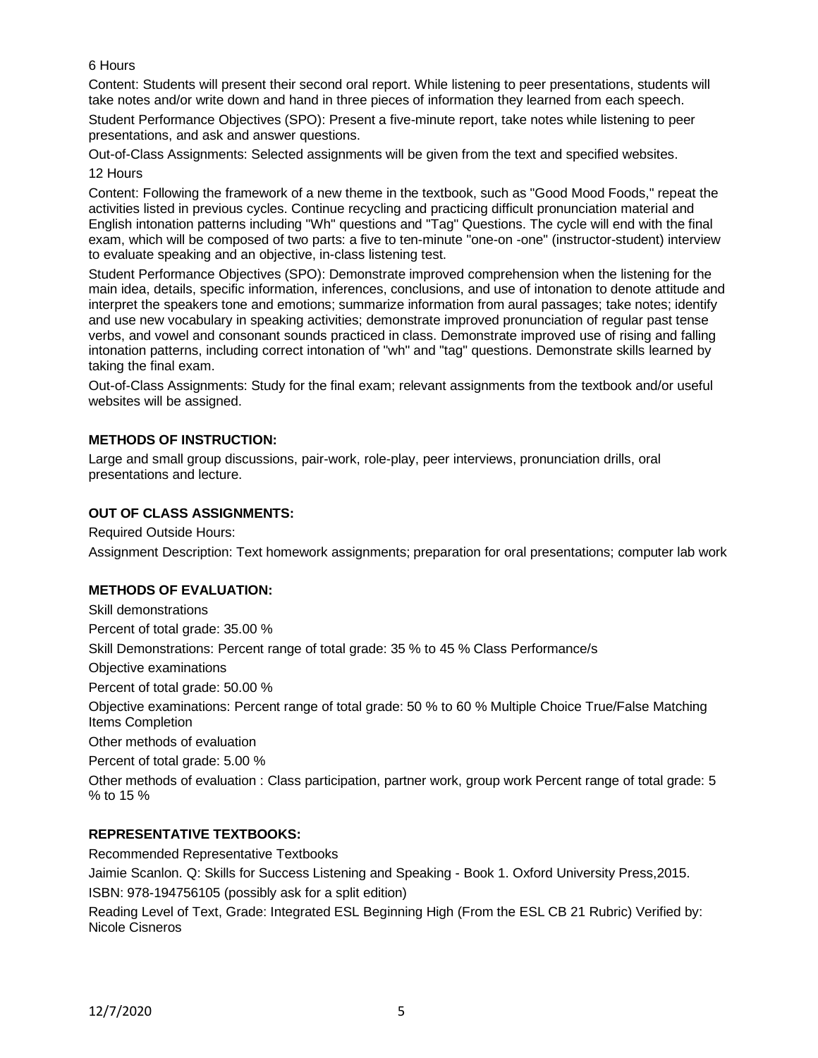# 6 Hours

Content: Students will present their second oral report. While listening to peer presentations, students will take notes and/or write down and hand in three pieces of information they learned from each speech.

Student Performance Objectives (SPO): Present a five-minute report, take notes while listening to peer presentations, and ask and answer questions.

Out-of-Class Assignments: Selected assignments will be given from the text and specified websites. 12 Hours

Content: Following the framework of a new theme in the textbook, such as "Good Mood Foods," repeat the activities listed in previous cycles. Continue recycling and practicing difficult pronunciation material and English intonation patterns including "Wh" questions and "Tag" Questions. The cycle will end with the final exam, which will be composed of two parts: a five to ten-minute "one-on -one" (instructor-student) interview to evaluate speaking and an objective, in-class listening test.

Student Performance Objectives (SPO): Demonstrate improved comprehension when the listening for the main idea, details, specific information, inferences, conclusions, and use of intonation to denote attitude and interpret the speakers tone and emotions; summarize information from aural passages; take notes; identify and use new vocabulary in speaking activities; demonstrate improved pronunciation of regular past tense verbs, and vowel and consonant sounds practiced in class. Demonstrate improved use of rising and falling intonation patterns, including correct intonation of "wh" and "tag" questions. Demonstrate skills learned by taking the final exam.

Out-of-Class Assignments: Study for the final exam; relevant assignments from the textbook and/or useful websites will be assigned.

# **METHODS OF INSTRUCTION:**

Large and small group discussions, pair-work, role-play, peer interviews, pronunciation drills, oral presentations and lecture.

## **OUT OF CLASS ASSIGNMENTS:**

Required Outside Hours:

Assignment Description: Text homework assignments; preparation for oral presentations; computer lab work

## **METHODS OF EVALUATION:**

Skill demonstrations Percent of total grade: 35.00 % Skill Demonstrations: Percent range of total grade: 35 % to 45 % Class Performance/s Objective examinations Percent of total grade: 50.00 % Objective examinations: Percent range of total grade: 50 % to 60 % Multiple Choice True/False Matching Items Completion Other methods of evaluation Percent of total grade: 5.00 % Other methods of evaluation : Class participation, partner work, group work Percent range of total grade: 5 % to 15 %

## **REPRESENTATIVE TEXTBOOKS:**

Recommended Representative Textbooks Jaimie Scanlon. Q: Skills for Success Listening and Speaking - Book 1. Oxford University Press,2015. ISBN: 978-194756105 (possibly ask for a split edition)

Reading Level of Text, Grade: Integrated ESL Beginning High (From the ESL CB 21 Rubric) Verified by: Nicole Cisneros